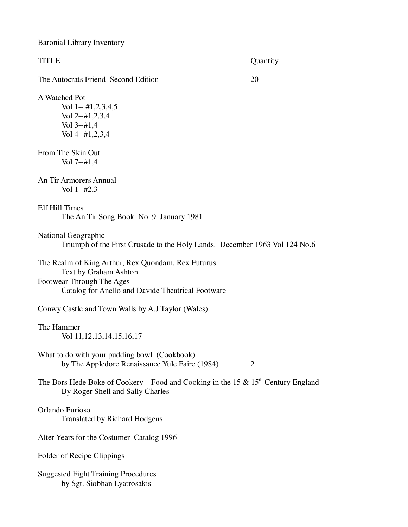Baronial Library Inventory

| <b>TITLE</b>                                                                                                                                                  | Quantity |
|---------------------------------------------------------------------------------------------------------------------------------------------------------------|----------|
| The Autocrats Friend Second Edition                                                                                                                           | 20       |
| A Watched Pot<br>Vol 1-- #1,2,3,4,5<br>Vol 2--#1,2,3,4<br>Vol $3-#1,4$<br>Vol $4-#1,2,3,4$                                                                    |          |
| From The Skin Out<br>$Vol 7-+#1,4$                                                                                                                            |          |
| An Tir Armorers Annual<br>Vol 1--#2,3                                                                                                                         |          |
| Elf Hill Times<br>The An Tir Song Book No. 9 January 1981                                                                                                     |          |
| National Geographic<br>Triumph of the First Crusade to the Holy Lands. December 1963 Vol 124 No.6                                                             |          |
| The Realm of King Arthur, Rex Quondam, Rex Futurus<br>Text by Graham Ashton<br>Footwear Through The Ages<br>Catalog for Anello and Davide Theatrical Footware |          |
| Conwy Castle and Town Walls by A.J Taylor (Wales)                                                                                                             |          |
| The Hammer<br>Vol 11, 12, 13, 14, 15, 16, 17                                                                                                                  |          |
| What to do with your pudding bowl (Cookbook)<br>by The Appledore Renaissance Yule Faire (1984)                                                                | 2        |
| The Bors Hede Boke of Cookery – Food and Cooking in the 15 & $15th$ Century England<br>By Roger Shell and Sally Charles                                       |          |
| Orlando Furioso<br><b>Translated by Richard Hodgens</b>                                                                                                       |          |
| Alter Years for the Costumer Catalog 1996                                                                                                                     |          |
| Folder of Recipe Clippings                                                                                                                                    |          |
| <b>Suggested Fight Training Procedures</b><br>by Sgt. Siobhan Lyatrosakis                                                                                     |          |